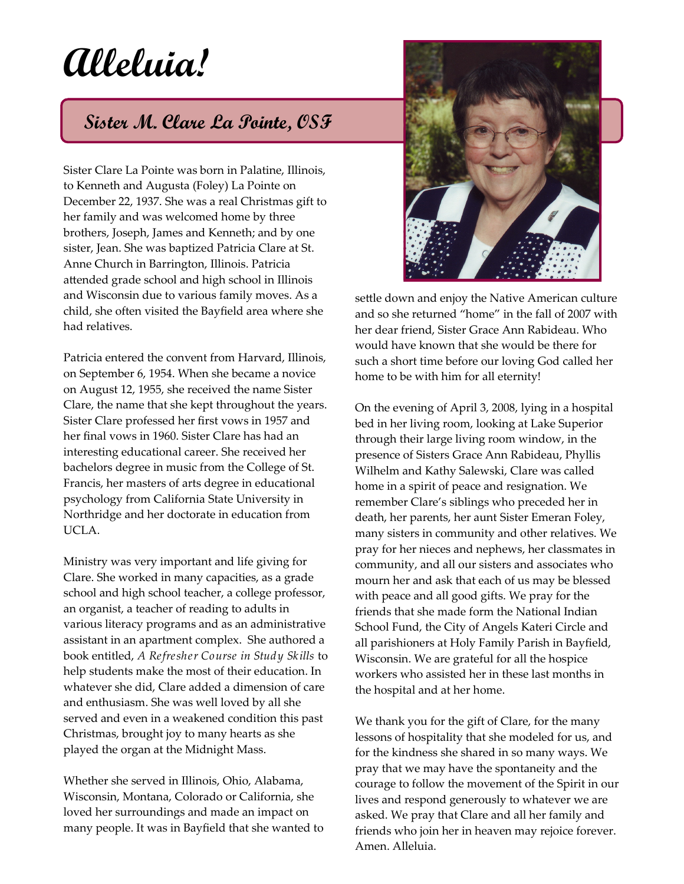## **Alleluia!**

## **Sister M. Clare La Pointe, OSF**

Sister Clare La Pointe was born in Palatine, Illinois, to Kenneth and Augusta (Foley) La Pointe on December 22, 1937. She was a real Christmas gift to her family and was welcomed home by three brothers, Joseph, James and Kenneth; and by one sister, Jean. She was baptized Patricia Clare at St. Anne Church in Barrington, Illinois. Patricia attended grade school and high school in Illinois and Wisconsin due to various family moves. As a child, she often visited the Bayfield area where she had relatives.

Patricia entered the convent from Harvard, Illinois, on September 6, 1954. When she became a novice on August 12, 1955, she received the name Sister Clare, the name that she kept throughout the years. Sister Clare professed her first vows in 1957 and her final vows in 1960. Sister Clare has had an interesting educational career. She received her bachelors degree in music from the College of St. Francis, her masters of arts degree in educational psychology from California State University in Northridge and her doctorate in education from UCLA.

Ministry was very important and life giving for Clare. She worked in many capacities, as a grade school and high school teacher, a college professor, an organist, a teacher of reading to adults in various literacy programs and as an administrative assistant in an apartment complex. She authored a book entitled, *A Refresher Course in Study Skills* to help students make the most of their education. In whatever she did, Clare added a dimension of care and enthusiasm. She was well loved by all she served and even in a weakened condition this past Christmas, brought joy to many hearts as she played the organ at the Midnight Mass.

Whether she served in Illinois, Ohio, Alabama, Wisconsin, Montana, Colorado or California, she loved her surroundings and made an impact on many people. It was in Bayfield that she wanted to



settle down and enjoy the Native American culture and so she returned "home" in the fall of 2007 with her dear friend, Sister Grace Ann Rabideau. Who would have known that she would be there for such a short time before our loving God called her home to be with him for all eternity!

On the evening of April 3, 2008, lying in a hospital bed in her living room, looking at Lake Superior through their large living room window, in the presence of Sisters Grace Ann Rabideau, Phyllis Wilhelm and Kathy Salewski, Clare was called home in a spirit of peace and resignation. We remember Clare's siblings who preceded her in death, her parents, her aunt Sister Emeran Foley, many sisters in community and other relatives. We pray for her nieces and nephews, her classmates in community, and all our sisters and associates who mourn her and ask that each of us may be blessed with peace and all good gifts. We pray for the friends that she made form the National Indian School Fund, the City of Angels Kateri Circle and all parishioners at Holy Family Parish in Bayfield, Wisconsin. We are grateful for all the hospice workers who assisted her in these last months in the hospital and at her home.

We thank you for the gift of Clare, for the many lessons of hospitality that she modeled for us, and for the kindness she shared in so many ways. We pray that we may have the spontaneity and the courage to follow the movement of the Spirit in our lives and respond generously to whatever we are asked. We pray that Clare and all her family and friends who join her in heaven may rejoice forever. Amen. Alleluia.